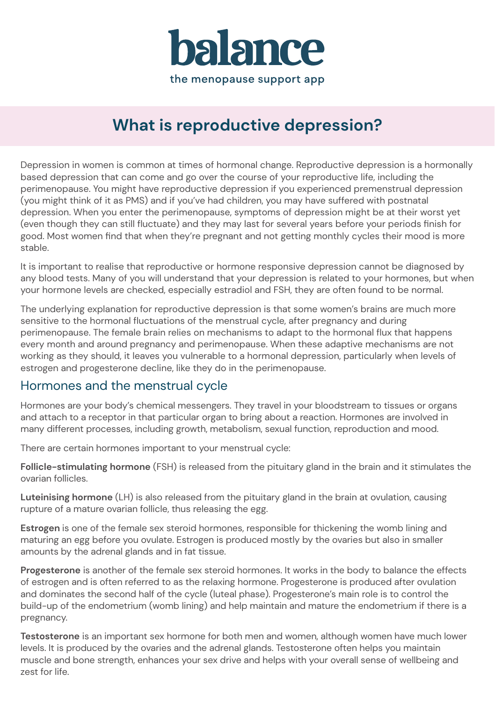

# **What is reproductive depression?**

Depression in women is common at times of hormonal change. Reproductive depression is a hormonally based depression that can come and go over the course of your reproductive life, including the perimenopause. You might have reproductive depression if you experienced premenstrual depression (you might think of it as PMS) and if you've had children, you may have suffered with postnatal depression. When you enter the perimenopause, symptoms of depression might be at their worst yet (even though they can still fluctuate) and they may last for several years before your periods finish for good. Most women find that when they're pregnant and not getting monthly cycles their mood is more stable.

It is important to realise that reproductive or hormone responsive depression cannot be diagnosed by any blood tests. Many of you will understand that your depression is related to your hormones, but when your hormone levels are checked, especially estradiol and FSH, they are often found to be normal.

The underlying explanation for reproductive depression is that some women's brains are much more sensitive to the hormonal fluctuations of the menstrual cycle, after pregnancy and during perimenopause. The female brain relies on mechanisms to adapt to the hormonal flux that happens every month and around pregnancy and perimenopause. When these adaptive mechanisms are not working as they should, it leaves you vulnerable to a hormonal depression, particularly when levels of estrogen and progesterone decline, like they do in the perimenopause.

### Hormones and the menstrual cycle

Hormones are your body's chemical messengers. They travel in your bloodstream to tissues or organs and attach to a receptor in that particular organ to bring about a reaction. Hormones are involved in many different processes, including growth, metabolism, sexual function, reproduction and mood.

There are certain hormones important to your menstrual cycle:

**Follicle-stimulating hormone** (FSH) is released from the pituitary gland in the brain and it stimulates the ovarian follicles.

**Luteinising hormone** (LH) is also released from the pituitary gland in the brain at ovulation, causing rupture of a mature ovarian follicle, thus releasing the egg.

**Estrogen** is one of the female sex steroid hormones, responsible for thickening the womb lining and maturing an egg before you ovulate. Estrogen is produced mostly by the ovaries but also in smaller amounts by the adrenal glands and in fat tissue.

**Progesterone** is another of the female sex steroid hormones. It works in the body to balance the effects of estrogen and is often referred to as the relaxing hormone. Progesterone is produced after ovulation and dominates the second half of the cycle (luteal phase). Progesterone's main role is to control the build-up of the endometrium (womb lining) and help maintain and mature the endometrium if there is a pregnancy.

**Testosterone** is an important sex hormone for both men and women, although women have much lower levels. It is produced by the ovaries and the adrenal glands. Testosterone often helps you maintain muscle and bone strength, enhances your sex drive and helps with your overall sense of wellbeing and zest for life.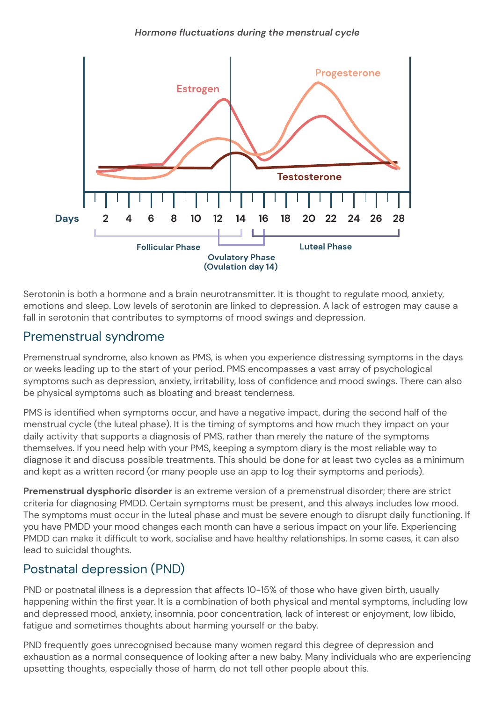

Serotonin is both a hormone and a brain neurotransmitter. It is thought to regulate mood, anxiety, emotions and sleep. Low levels of serotonin are linked to depression. A lack of estrogen may cause a fall in serotonin that contributes to symptoms of mood swings and depression.

### Premenstrual syndrome

Premenstrual syndrome, also known as PMS, is when you experience distressing symptoms in the days or weeks leading up to the start of your period. PMS encompasses a vast array of psychological symptoms such as depression, anxiety, irritability, loss of confidence and mood swings. There can also be physical symptoms such as bloating and breast tenderness.

PMS is identified when symptoms occur, and have a negative impact, during the second half of the menstrual cycle (the luteal phase). It is the timing of symptoms and how much they impact on your daily activity that supports a diagnosis of PMS, rather than merely the nature of the symptoms themselves. If you need help with your PMS, keeping a symptom diary is the most reliable way to diagnose it and discuss possible treatments. This should be done for at least two cycles as a minimum and kept as a written record (or many people use an app to log their symptoms and periods).

**Premenstrual dysphoric disorder** is an extreme version of a premenstrual disorder; there are strict criteria for diagnosing PMDD. Certain symptoms must be present, and this always includes low mood. The symptoms must occur in the luteal phase and must be severe enough to disrupt daily functioning. If you have PMDD your mood changes each month can have a serious impact on your life. Experiencing PMDD can make it difficult to work, socialise and have healthy relationships. In some cases, it can also lead to suicidal thoughts.

## Postnatal depression (PND)

PND or postnatal illness is a depression that affects 10-15% of those who have given birth, usually happening within the first year. It is a combination of both physical and mental symptoms, including low and depressed mood, anxiety, insomnia, poor concentration, lack of interest or enjoyment, low libido, fatigue and sometimes thoughts about harming yourself or the baby.

PND frequently goes unrecognised because many women regard this degree of depression and exhaustion as a normal consequence of looking after a new baby. Many individuals who are experiencing upsetting thoughts, especially those of harm, do not tell other people about this.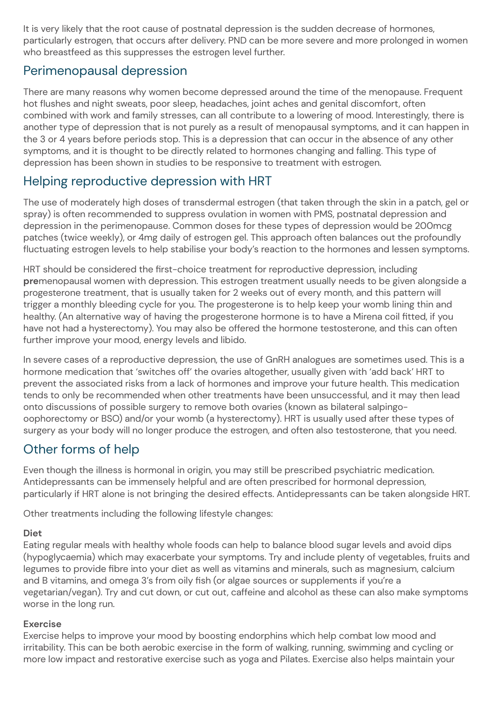It is very likely that the root cause of postnatal depression is the sudden decrease of hormones, particularly estrogen, that occurs after delivery. PND can be more severe and more prolonged in women who breastfeed as this suppresses the estrogen level further.

### Perimenopausal depression

There are many reasons why women become depressed around the time of the menopause. Frequent hot flushes and night sweats, poor sleep, headaches, joint aches and genital discomfort, often combined with work and family stresses, can all contribute to a lowering of mood. Interestingly, there is another type of depression that is not purely as a result of menopausal symptoms, and it can happen in the 3 or 4 years before periods stop. This is a depression that can occur in the absence of any other symptoms, and it is thought to be directly related to hormones changing and falling. This type of depression has been shown in studies to be responsive to treatment with estrogen.

### Helping reproductive depression with HRT

The use of moderately high doses of transdermal estrogen (that taken through the skin in a patch, gel or spray) is often recommended to suppress ovulation in women with PMS, postnatal depression and depression in the perimenopause. Common doses for these types of depression would be 200mcg patches (twice weekly), or 4mg daily of estrogen gel. This approach often balances out the profoundly fluctuating estrogen levels to help stabilise your body's reaction to the hormones and lessen symptoms.

HRT should be considered the first-choice treatment for reproductive depression, including **pre**menopausal women with depression. This estrogen treatment usually needs to be given alongside a progesterone treatment, that is usually taken for 2 weeks out of every month, and this pattern will trigger a monthly bleeding cycle for you. The progesterone is to help keep your womb lining thin and healthy. (An alternative way of having the progesterone hormone is to have a Mirena coil fitted, if you have not had a hysterectomy). You may also be offered the hormone testosterone, and this can often further improve your mood, energy levels and libido.

In severe cases of a reproductive depression, the use of GnRH analogues are sometimes used. This is a hormone medication that 'switches off' the ovaries altogether, usually given with 'add back' HRT to prevent the associated risks from a lack of hormones and improve your future health. This medication tends to only be recommended when other treatments have been unsuccessful, and it may then lead onto discussions of possible surgery to remove both ovaries (known as bilateral salpingooophorectomy or BSO) and/or your womb (a hysterectomy). HRT is usually used after these types of surgery as your body will no longer produce the estrogen, and often also testosterone, that you need.

### Other forms of help

Even though the illness is hormonal in origin, you may still be prescribed psychiatric medication. Antidepressants can be immensely helpful and are often prescribed for hormonal depression, particularly if HRT alone is not bringing the desired effects. Antidepressants can be taken alongside HRT.

Other treatments including the following lifestyle changes:

#### **Diet**

Eating regular meals with healthy whole foods can help to balance blood sugar levels and avoid dips (hypoglycaemia) which may exacerbate your symptoms. Try and include plenty of vegetables, fruits and legumes to provide fibre into your diet as well as vitamins and minerals, such as magnesium, calcium and B vitamins, and omega 3's from oily fish (or algae sources or supplements if you're a vegetarian/vegan). Try and cut down, or cut out, caffeine and alcohol as these can also make symptoms worse in the long run.

#### **Exercise**

Exercise helps to improve your mood by boosting endorphins which help combat low mood and irritability. This can be both aerobic exercise in the form of walking, running, swimming and cycling or more low impact and restorative exercise such as yoga and Pilates. Exercise also helps maintain your